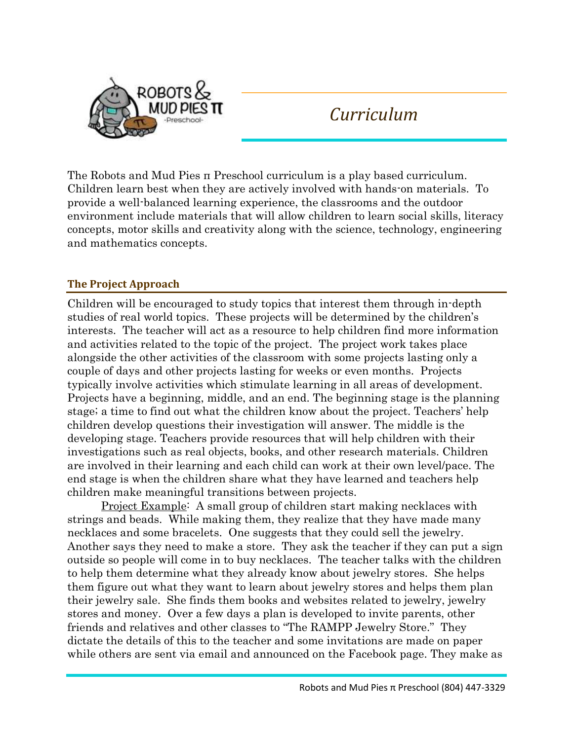

# *Curriculum*

The Robots and Mud Pies π Preschool curriculum is a play based curriculum. Children learn best when they are actively involved with hands-on materials. To provide a well-balanced learning experience, the classrooms and the outdoor environment include materials that will allow children to learn social skills, literacy concepts, motor skills and creativity along with the science, technology, engineering and mathematics concepts.

# **The Project Approach**

Children will be encouraged to study topics that interest them through in-depth studies of real world topics. These projects will be determined by the children's interests. The teacher will act as a resource to help children find more information and activities related to the topic of the project. The project work takes place alongside the other activities of the classroom with some projects lasting only a couple of days and other projects lasting for weeks or even months. Projects typically involve activities which stimulate learning in all areas of development. Projects have a beginning, middle, and an end. The beginning stage is the planning stage; a time to find out what the children know about the project. Teachers' help children develop questions their investigation will answer. The middle is the developing stage. Teachers provide resources that will help children with their investigations such as real objects, books, and other research materials. Children are involved in their learning and each child can work at their own level/pace. The end stage is when the children share what they have learned and teachers help children make meaningful transitions between projects.

Project Example: A small group of children start making necklaces with strings and beads. While making them, they realize that they have made many necklaces and some bracelets. One suggests that they could sell the jewelry. Another says they need to make a store. They ask the teacher if they can put a sign outside so people will come in to buy necklaces. The teacher talks with the children to help them determine what they already know about jewelry stores. She helps them figure out what they want to learn about jewelry stores and helps them plan their jewelry sale. She finds them books and websites related to jewelry, jewelry stores and money. Over a few days a plan is developed to invite parents, other friends and relatives and other classes to "The RAMPP Jewelry Store." They dictate the details of this to the teacher and some invitations are made on paper while others are sent via email and announced on the Facebook page. They make as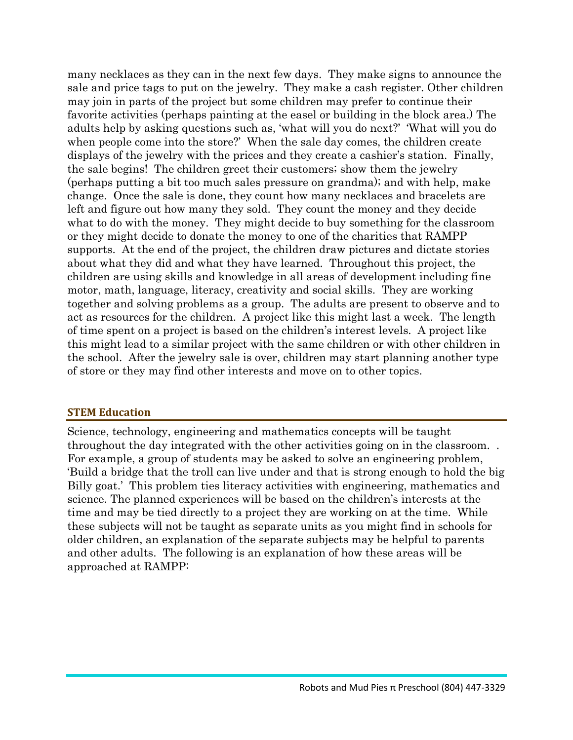many necklaces as they can in the next few days. They make signs to announce the sale and price tags to put on the jewelry. They make a cash register. Other children may join in parts of the project but some children may prefer to continue their favorite activities (perhaps painting at the easel or building in the block area.) The adults help by asking questions such as, 'what will you do next?' 'What will you do when people come into the store?' When the sale day comes, the children create displays of the jewelry with the prices and they create a cashier's station. Finally, the sale begins! The children greet their customers; show them the jewelry (perhaps putting a bit too much sales pressure on grandma); and with help, make change. Once the sale is done, they count how many necklaces and bracelets are left and figure out how many they sold. They count the money and they decide what to do with the money. They might decide to buy something for the classroom or they might decide to donate the money to one of the charities that RAMPP supports. At the end of the project, the children draw pictures and dictate stories about what they did and what they have learned. Throughout this project, the children are using skills and knowledge in all areas of development including fine motor, math, language, literacy, creativity and social skills. They are working together and solving problems as a group. The adults are present to observe and to act as resources for the children. A project like this might last a week. The length of time spent on a project is based on the children's interest levels. A project like this might lead to a similar project with the same children or with other children in the school. After the jewelry sale is over, children may start planning another type of store or they may find other interests and move on to other topics.

#### **STEM Education**

Science, technology, engineering and mathematics concepts will be taught throughout the day integrated with the other activities going on in the classroom. . For example, a group of students may be asked to solve an engineering problem, 'Build a bridge that the troll can live under and that is strong enough to hold the big Billy goat.' This problem ties literacy activities with engineering, mathematics and science. The planned experiences will be based on the children's interests at the time and may be tied directly to a project they are working on at the time. While these subjects will not be taught as separate units as you might find in schools for older children, an explanation of the separate subjects may be helpful to parents and other adults. The following is an explanation of how these areas will be approached at RAMPP: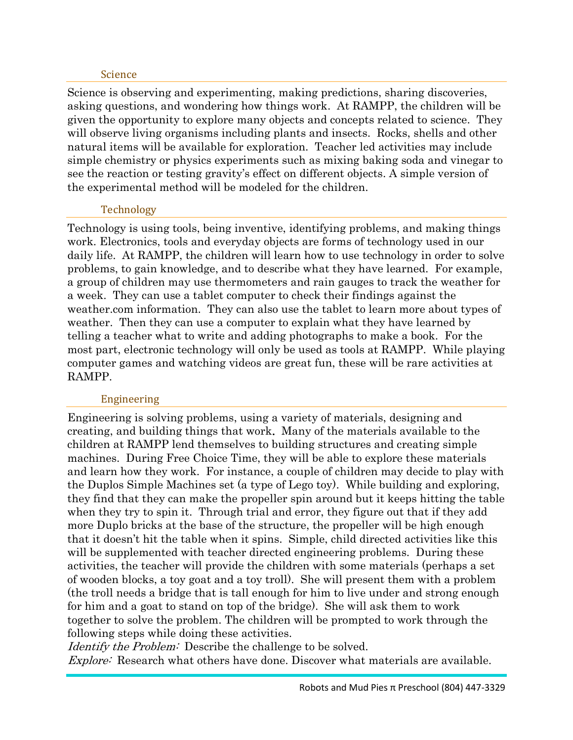#### Science

Science is observing and experimenting, making predictions, sharing discoveries, asking questions, and wondering how things work. At RAMPP, the children will be given the opportunity to explore many objects and concepts related to science. They will observe living organisms including plants and insects. Rocks, shells and other natural items will be available for exploration. Teacher led activities may include simple chemistry or physics experiments such as mixing baking soda and vinegar to see the reaction or testing gravity's effect on different objects. A simple version of the experimental method will be modeled for the children.

## Technology

Technology is using tools, being inventive, identifying problems, and making things work. Electronics, tools and everyday objects are forms of technology used in our daily life. At RAMPP, the children will learn how to use technology in order to solve problems, to gain knowledge, and to describe what they have learned. For example, a group of children may use thermometers and rain gauges to track the weather for a week. They can use a tablet computer to check their findings against the weather.com information. They can also use the tablet to learn more about types of weather. Then they can use a computer to explain what they have learned by telling a teacher what to write and adding photographs to make a book. For the most part, electronic technology will only be used as tools at RAMPP. While playing computer games and watching videos are great fun, these will be rare activities at RAMPP.

#### Engineering

Engineering is solving problems, using a variety of materials, designing and creating, and building things that work. Many of the materials available to the children at RAMPP lend themselves to building structures and creating simple machines. During Free Choice Time, they will be able to explore these materials and learn how they work. For instance, a couple of children may decide to play with the Duplos Simple Machines set (a type of Lego toy). While building and exploring, they find that they can make the propeller spin around but it keeps hitting the table when they try to spin it. Through trial and error, they figure out that if they add more Duplo bricks at the base of the structure, the propeller will be high enough that it doesn't hit the table when it spins. Simple, child directed activities like this will be supplemented with teacher directed engineering problems. During these activities, the teacher will provide the children with some materials (perhaps a set of wooden blocks, a toy goat and a toy troll). She will present them with a problem (the troll needs a bridge that is tall enough for him to live under and strong enough for him and a goat to stand on top of the bridge). She will ask them to work together to solve the problem. The children will be prompted to work through the following steps while doing these activities.

Identify the Problem: Describe the challenge to be solved. Explore: Research what others have done. Discover what materials are available.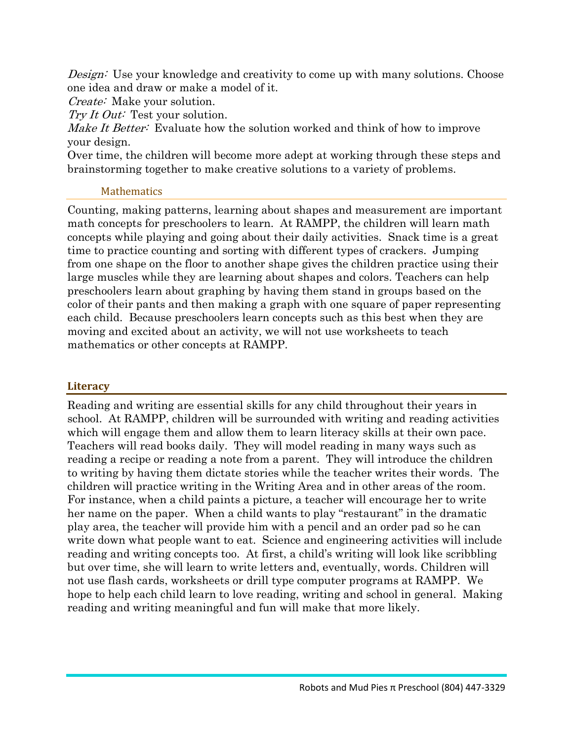Design: Use your knowledge and creativity to come up with many solutions. Choose one idea and draw or make a model of it.

*Create:* Make your solution.

Try It Out: Test your solution.

Make It Better: Evaluate how the solution worked and think of how to improve your design.

Over time, the children will become more adept at working through these steps and brainstorming together to make creative solutions to a variety of problems.

## **Mathematics**

Counting, making patterns, learning about shapes and measurement are important math concepts for preschoolers to learn. At RAMPP, the children will learn math concepts while playing and going about their daily activities. Snack time is a great time to practice counting and sorting with different types of crackers. Jumping from one shape on the floor to another shape gives the children practice using their large muscles while they are learning about shapes and colors. Teachers can help preschoolers learn about graphing by having them stand in groups based on the color of their pants and then making a graph with one square of paper representing each child. Because preschoolers learn concepts such as this best when they are moving and excited about an activity, we will not use worksheets to teach mathematics or other concepts at RAMPP.

# **Literacy**

Reading and writing are essential skills for any child throughout their years in school. At RAMPP, children will be surrounded with writing and reading activities which will engage them and allow them to learn literacy skills at their own pace. Teachers will read books daily. They will model reading in many ways such as reading a recipe or reading a note from a parent. They will introduce the children to writing by having them dictate stories while the teacher writes their words. The children will practice writing in the Writing Area and in other areas of the room. For instance, when a child paints a picture, a teacher will encourage her to write her name on the paper. When a child wants to play "restaurant" in the dramatic play area, the teacher will provide him with a pencil and an order pad so he can write down what people want to eat. Science and engineering activities will include reading and writing concepts too. At first, a child's writing will look like scribbling but over time, she will learn to write letters and, eventually, words. Children will not use flash cards, worksheets or drill type computer programs at RAMPP. We hope to help each child learn to love reading, writing and school in general. Making reading and writing meaningful and fun will make that more likely.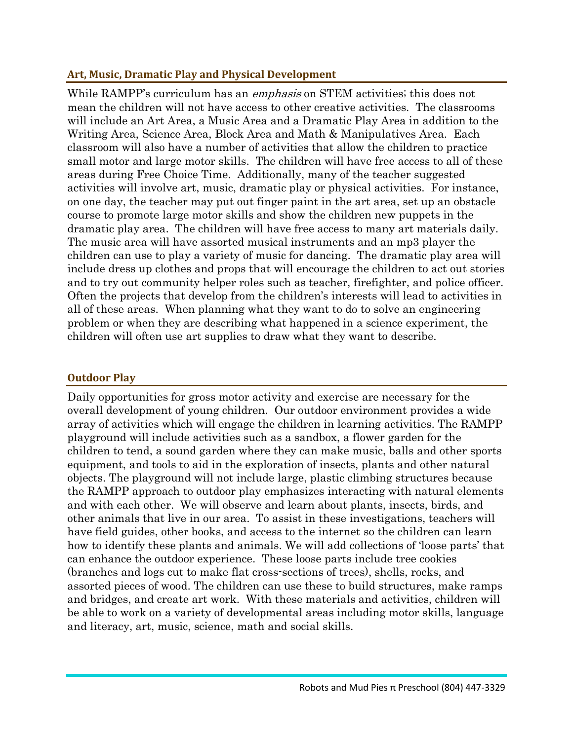# **Art, Music, Dramatic Play and Physical Development**

While RAMPP's curriculum has an *emphasis* on STEM activities; this does not mean the children will not have access to other creative activities. The classrooms will include an Art Area, a Music Area and a Dramatic Play Area in addition to the Writing Area, Science Area, Block Area and Math & Manipulatives Area. Each classroom will also have a number of activities that allow the children to practice small motor and large motor skills. The children will have free access to all of these areas during Free Choice Time. Additionally, many of the teacher suggested activities will involve art, music, dramatic play or physical activities. For instance, on one day, the teacher may put out finger paint in the art area, set up an obstacle course to promote large motor skills and show the children new puppets in the dramatic play area. The children will have free access to many art materials daily. The music area will have assorted musical instruments and an mp3 player the children can use to play a variety of music for dancing. The dramatic play area will include dress up clothes and props that will encourage the children to act out stories and to try out community helper roles such as teacher, firefighter, and police officer. Often the projects that develop from the children's interests will lead to activities in all of these areas. When planning what they want to do to solve an engineering problem or when they are describing what happened in a science experiment, the children will often use art supplies to draw what they want to describe.

# **Outdoor Play**

Daily opportunities for gross motor activity and exercise are necessary for the overall development of young children. Our outdoor environment provides a wide array of activities which will engage the children in learning activities. The RAMPP playground will include activities such as a sandbox, a flower garden for the children to tend, a sound garden where they can make music, balls and other sports equipment, and tools to aid in the exploration of insects, plants and other natural objects. The playground will not include large, plastic climbing structures because the RAMPP approach to outdoor play emphasizes interacting with natural elements and with each other. We will observe and learn about plants, insects, birds, and other animals that live in our area. To assist in these investigations, teachers will have field guides, other books, and access to the internet so the children can learn how to identify these plants and animals. We will add collections of 'loose parts' that can enhance the outdoor experience. These loose parts include tree cookies (branches and logs cut to make flat cross-sections of trees), shells, rocks, and assorted pieces of wood. The children can use these to build structures, make ramps and bridges, and create art work. With these materials and activities, children will be able to work on a variety of developmental areas including motor skills, language and literacy, art, music, science, math and social skills.